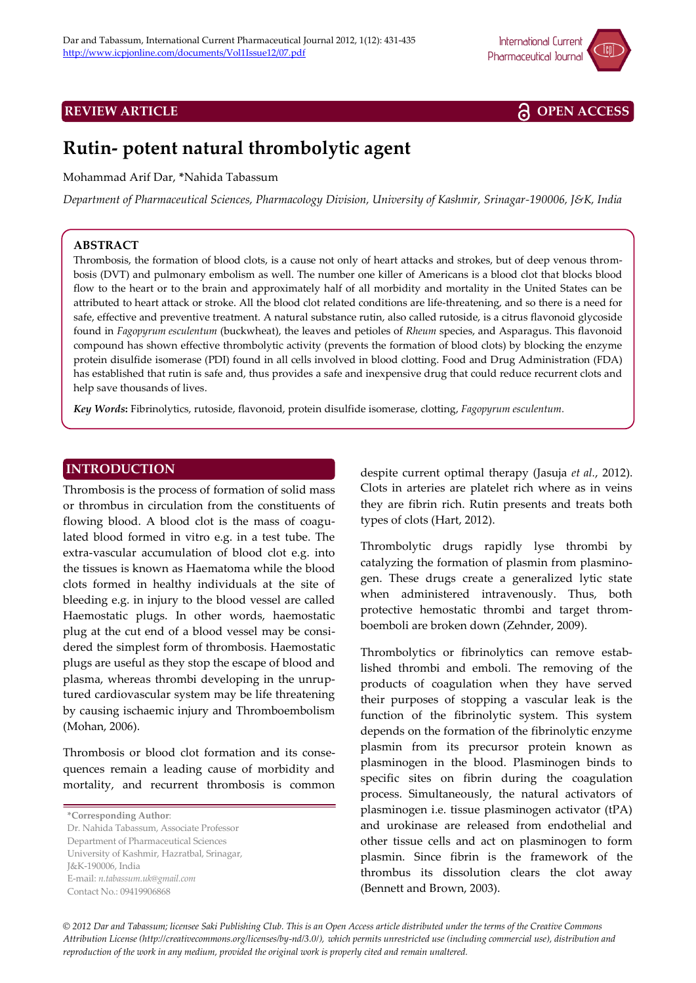

#### **REVIEW ARTICLE CONSUMING THE CONSUMING OPEN ACCESS**

# **Rutin- potent natural thrombolytic agent**

Mohammad Arif Dar, **\***Nahida Tabassum

*Department of Pharmaceutical Sciences, Pharmacology Division, University of Kashmir, Srinagar-190006, J&K, India*

#### **ABSTRACT**

Thrombosis, the formation of blood clots, is a cause not only of heart attacks and strokes, but of deep venous thrombosis (DVT) and pulmonary embolism as well. The number one killer of Americans is a blood clot that blocks blood flow to the heart or to the brain and approximately half of all morbidity and mortality in the United States can be attributed to heart attack or stroke. All the blood clot related conditions are life-threatening, and so there is a need for safe, effective and preventive treatment. A natural substance rutin, also called rutoside, is a citrus flavonoid glycoside found in *Fagopyrum esculentum* (buckwheat), the leaves and petioles of *Rheum* species, and Asparagus. This flavonoid compound has shown effective thrombolytic activity (prevents the formation of blood clots) by blocking the enzyme protein disulfide isomerase (PDI) found in all cells involved in blood clotting. Food and Drug Administration (FDA) has established that rutin is safe and, thus provides a safe and inexpensive drug that could reduce recurrent clots and help save thousands of lives.

*Key Words***:** Fibrinolytics, rutoside, flavonoid, protein disulfide isomerase, clotting, *Fagopyrum esculentum*.

# **INTRODUCTION INTRODUCTION**

Thrombosis is the process of formation of solid mass or thrombus in circulation from the constituents of flowing blood. A blood clot is the mass of coagulated blood formed in vitro e.g. in a test tube. The extra-vascular accumulation of blood clot e.g. into the tissues is known as Haematoma while the blood clots formed in healthy individuals at the site of bleeding e.g. in injury to the blood vessel are called Haemostatic plugs. In other words, haemostatic plug at the cut end of a blood vessel may be considered the simplest form of thrombosis. Haemostatic plugs are useful as they stop the escape of blood and plasma, whereas thrombi developing in the unruptured cardiovascular system may be life threatening by causing ischaemic injury and Thromboembolism (Mohan, 2006).

Thrombosis or blood clot formation and its consequences remain a leading cause of morbidity and mortality, and recurrent thrombosis is common

**\*Corresponding Author**:

- Dr. Nahida Tabassum, Associate Professor
- Department of Pharmaceutical Sciences

despite current optimal therapy (Jasuja *et al.*, 2012). Clots in arteries are platelet rich where as in veins they are fibrin rich. Rutin presents and treats both types of clots (Hart, 2012).

Thrombolytic drugs rapidly lyse thrombi by catalyzing the formation of plasmin from plasminogen. These drugs create a generalized lytic state when administered intravenously. Thus, both protective hemostatic thrombi and target thromboemboli are broken down (Zehnder, 2009).

Thrombolytics or fibrinolytics can remove established thrombi and emboli. The removing of the products of coagulation when they have served their purposes of stopping a vascular leak is the function of the fibrinolytic system. This system depends on the formation of the fibrinolytic enzyme plasmin from its precursor protein known as plasminogen in the blood. Plasminogen binds to specific sites on fibrin during the coagulation process. Simultaneously, the natural activators of plasminogen i.e. tissue plasminogen activator (tPA) and urokinase are released from endothelial and other tissue cells and act on plasminogen to form plasmin. Since fibrin is the framework of the thrombus its dissolution clears the clot away (Bennett and Brown, 2003).

*© 2012 Dar and Tabassum; licensee Saki Publishing Club. This is an Open Access article distributed under the terms of the Creative Commons Attribution License (http://creativecommons.org/licenses/by-nd/3.0/), which permits unrestricted use (including commercial use), distribution and reproduction of the work in any medium, provided the original work is properly cited and remain unaltered.*

University of Kashmir, Hazratbal, Srinagar,

J&K-190006, India

E-mail: *n.tabassum.uk@gmail.com*

Contact No.: 09419906868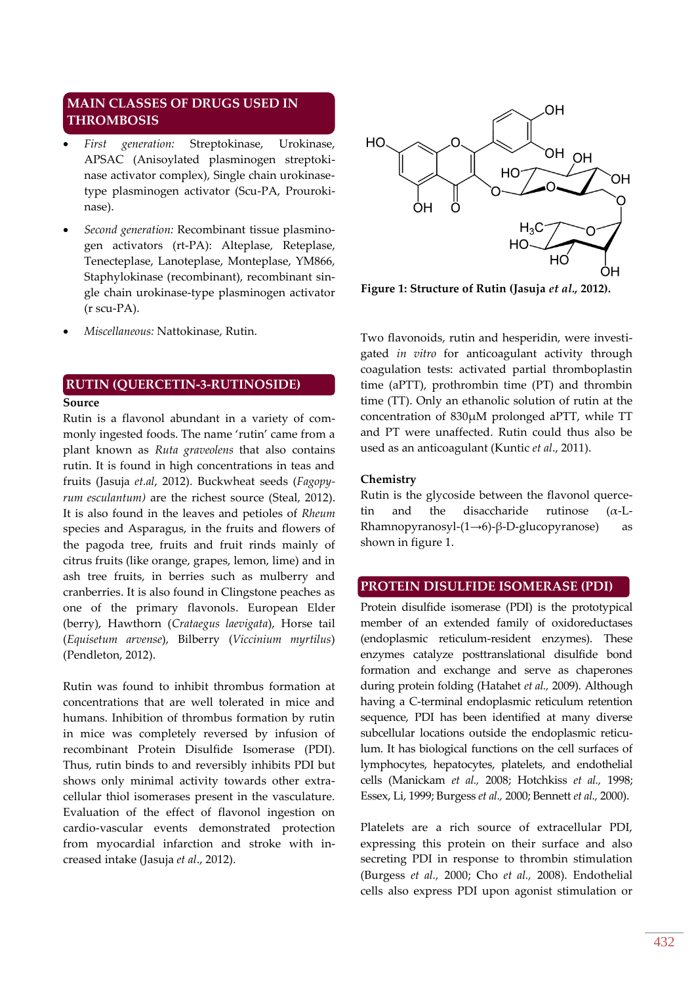# **MAIN CLASSES OF DRUGS USED IN THROMBOSIS THROMBOSIS**

- *First generation:* Streptokinase, Urokinase, APSAC (Anisoylated plasminogen streptokinase activator complex), Single chain urokinasetype plasminogen activator (Scu-PA, Prourokinase).
- *Second generation:* Recombinant tissue plasminogen activators (rt-PA): Alteplase, Reteplase, Tenecteplase, Lanoteplase, Monteplase, YM866, Staphylokinase (recombinant), recombinant single chain urokinase-type plasminogen activator (r scu-PA).
- *Miscellaneous:* Nattokinase, Rutin.

#### **RUTIN (QUERCETIN-3-RUTINOSIDE) RUTIN (QUERCETIN-3-RUTINOSIDE)**

#### **Source**

Rutin is a flavonol abundant in a variety of commonly ingested foods. The name 'rutin' came from a plant known as *Ruta graveolens* that also contains rutin. It is found in high concentrations in teas and fruits (Jasuja *et.al*, 2012). Buckwheat seeds (*Fagopyrum esculantum)* are the richest source (Steal, 2012). It is also found in the leaves and petioles of *Rheum* species and Asparagus, in the fruits and flowers of the pagoda tree, fruits and fruit rinds mainly of citrus fruits (like orange, grapes, lemon, lime) and in ash tree fruits, in berries such as mulberry and cranberries. It is also found in Clingstone peaches as one of the primary flavonols. European Elder (berry), Hawthorn (*Crataegus laevigata*), Horse tail (*Equisetum arvense*), Bilberry (*Viccinium myrtilus*) (Pendleton, 2012).

Rutin was found to inhibit thrombus formation at concentrations that are well tolerated in mice and humans. Inhibition of thrombus formation by rutin in mice was completely reversed by infusion of recombinant Protein Disulfide Isomerase (PDI). Thus, rutin binds to and reversibly inhibits PDI but shows only minimal activity towards other extracellular thiol isomerases present in the vasculature. Evaluation of the effect of flavonol ingestion on cardio-vascular events demonstrated protection from myocardial infarction and stroke with increased intake (Jasuja *et al*., 2012).



**Figure 1: Structure of Rutin (Jasuja** *et al.,* **2012).**

Two flavonoids, rutin and hesperidin, were investigated *in vitro* for anticoagulant activity through coagulation tests: activated partial thromboplastin time (aPTT), prothrombin time (PT) and thrombin time (TT). Only an ethanolic solution of rutin at the concentration of 830μM prolonged aPTT, while TT and PT were unaffected. Rutin could thus also be used as an anticoagulant (Kuntic *et al*., 2011).

#### **Chemistry**

Rutin is the glycoside between the flavonol quercetin and the disaccharide rutinose  $(\alpha$ -L-Rhamnopyranosyl-(1→6)-β-D-glucopyranose) as shown in figure 1.

## **PROTEIN DISULFIDE ISOMERASE (PDI) PROTEIN DISULFIDE ISOMERASE (PDI)**

Protein disulfide isomerase (PDI) is the prototypical member of an extended family of oxidoreductases (endoplasmic reticulum-resident enzymes). These enzymes catalyze posttranslational disulfide bond formation and exchange and serve as chaperones during protein folding (Hatahet *et al.,* 2009). Although having a C-terminal endoplasmic reticulum retention sequence, PDI has been identified at many diverse subcellular locations outside the endoplasmic reticulum. It has biological functions on the cell surfaces of lymphocytes, hepatocytes, platelets, and endothelial cells (Manickam *et al.,* 2008; Hotchkiss *et al.,* 1998; Essex, Li, 1999; Burgess *et al.,* 2000; Bennett *et al.,* 2000).

Platelets are a rich source of extracellular PDI, expressing this protein on their surface and also secreting PDI in response to thrombin stimulation (Burgess *et al.,* 2000; Cho *et al.,* 2008). Endothelial cells also express PDI upon agonist stimulation or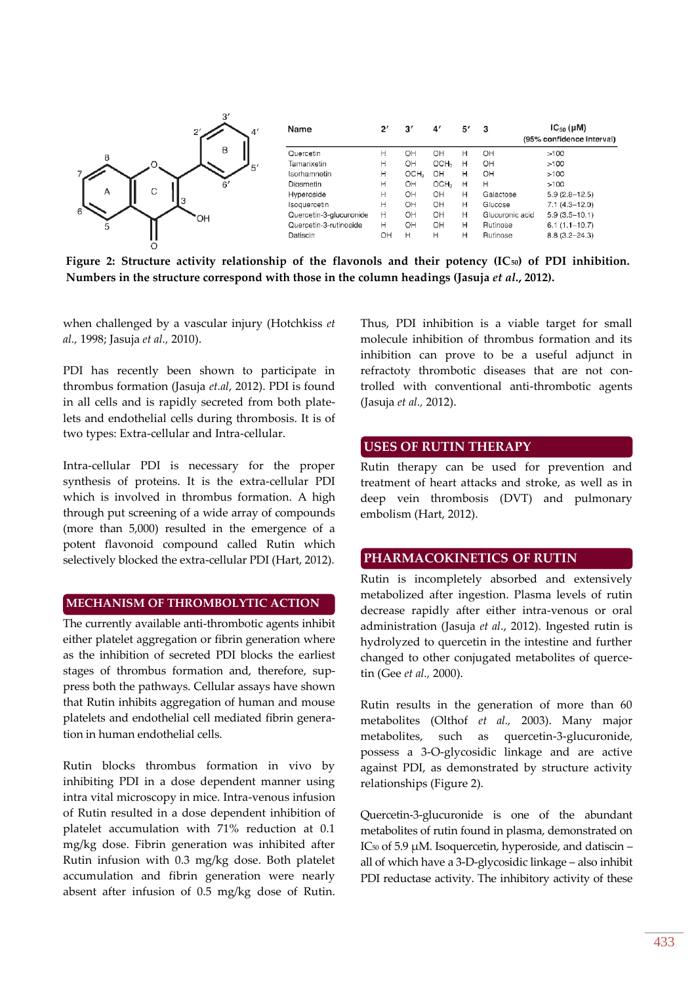

**Figure 2: Structure activity relationship of the flavonols and their potency (IC50) of PDI inhibition. Numbers in the structure correspond with those in the column headings (Jasuja** *et al***., 2012).**

when challenged by a vascular injury (Hotchkiss *et al.,* 1998; Jasuja *et al.,* 2010).

PDI has recently been shown to participate in thrombus formation (Jasuja *et.al*, 2012). PDI is found in all cells and is rapidly secreted from both platelets and endothelial cells during thrombosis. It is of two types: Extra-cellular and Intra-cellular.

Intra-cellular PDI is necessary for the proper synthesis of proteins. It is the extra-cellular PDI which is involved in thrombus formation. A high through put screening of a wide array of compounds (more than 5,000) resulted in the emergence of a potent flavonoid compound called Rutin which selectively blocked the extra-cellular PDI (Hart, 2012).

#### **MECHANISM OF THROMBOLYTIC ACTION MECHANISM OF THROMBOLYTIC ACTION**

The currently available anti-thrombotic agents inhibit either platelet aggregation or fibrin generation where as the inhibition of secreted PDI blocks the earliest stages of thrombus formation and, therefore, suppress both the pathways. Cellular assays have shown that Rutin inhibits aggregation of human and mouse platelets and endothelial cell mediated fibrin generation in human endothelial cells.

Rutin blocks thrombus formation in vivo by inhibiting PDI in a dose dependent manner using intra vital microscopy in mice. Intra-venous infusion of Rutin resulted in a dose dependent inhibition of platelet accumulation with 71% reduction at 0.1 mg/kg dose. Fibrin generation was inhibited after Rutin infusion with 0.3 mg/kg dose. Both platelet accumulation and fibrin generation were nearly absent after infusion of 0.5 mg/kg dose of Rutin.

Thus, PDI inhibition is a viable target for small molecule inhibition of thrombus formation and its inhibition can prove to be a useful adjunct in refractoty thrombotic diseases that are not controlled with conventional anti-thrombotic agents (Jasuja *et al.,* 2012).

## **USES OF RUTIN THERAPY USES OF RUTIN THERAPY**

Rutin therapy can be used for prevention and treatment of heart attacks and stroke, as well as in deep vein thrombosis (DVT) and pulmonary embolism (Hart, 2012).

## **PHARMACOKINETICS OF RUTIN PHARMACOKINETICS OF RUTIN**

Rutin is incompletely absorbed and extensively metabolized after ingestion. Plasma levels of rutin decrease rapidly after either intra-venous or oral administration (Jasuja *et al*., 2012). Ingested rutin is hydrolyzed to quercetin in the intestine and further changed to other conjugated metabolites of quercetin (Gee *et al.,* 2000).

Rutin results in the generation of more than 60 metabolites (Olthof *et al.,* 2003). Many major metabolites, such as quercetin-3-glucuronide, possess a 3-O-glycosidic linkage and are active against PDI, as demonstrated by structure activity relationships (Figure 2).

Quercetin-3-glucuronide is one of the abundant metabolites of rutin found in plasma, demonstrated on IC<sup>50</sup> of 5.9 µM. Isoquercetin, hyperoside, and datiscin – all of which have a 3-D-glycosidic linkage – also inhibit PDI reductase activity. The inhibitory activity of these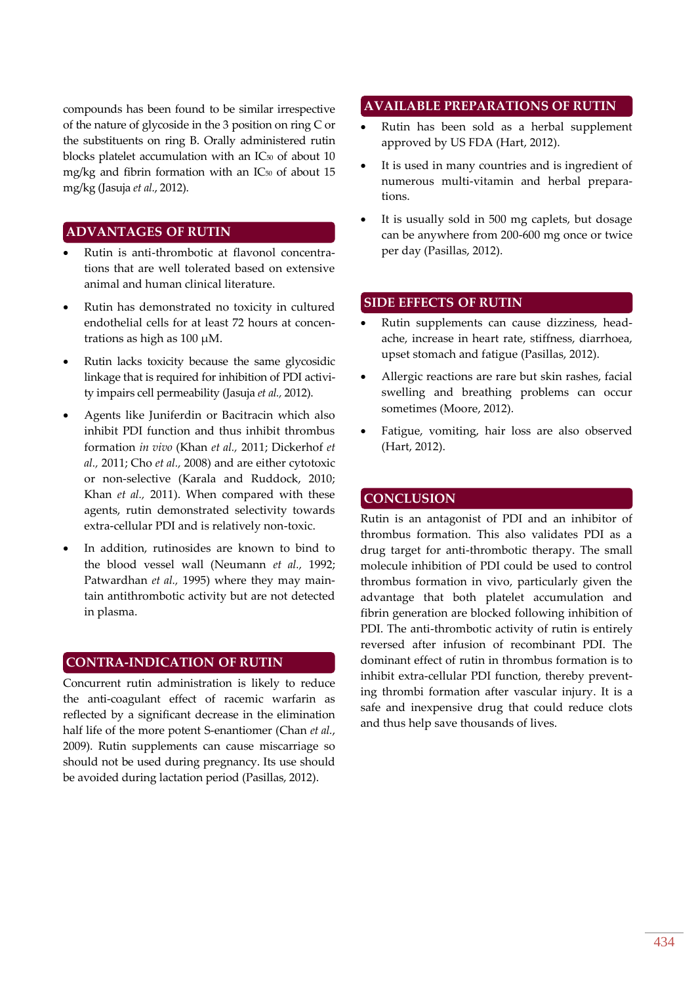compounds has been found to be similar irrespective of the nature of glycoside in the 3 position on ring C or the substituents on ring B. Orally administered rutin blocks platelet accumulation with an IC<sub>50</sub> of about 10 mg/kg and fibrin formation with an IC50 of about 15 mg/kg (Jasuja *et al.*, 2012).

## **ADVANTAGES OF RUTIN ADVANTAGES OF RUTIN**

- Rutin is anti-thrombotic at flavonol concentrations that are well tolerated based on extensive animal and human clinical literature.
- Rutin has demonstrated no toxicity in cultured endothelial cells for at least 72 hours at concentrations as high as 100 µM.
- Rutin lacks toxicity because the same glycosidic linkage that is required for inhibition of PDI activity impairs cell permeability (Jasuja *et al.,* 2012).
- Agents like Juniferdin or Bacitracin which also inhibit PDI function and thus inhibit thrombus formation *in vivo* (Khan *et al.,* 2011; Dickerhof *et al.,* 2011; Cho *et al.,* 2008) and are either cytotoxic or non-selective (Karala and Ruddock, 2010; Khan *et al.,* 2011). When compared with these agents, rutin demonstrated selectivity towards extra-cellular PDI and is relatively non-toxic.
- In addition, rutinosides are known to bind to the blood vessel wall (Neumann *et al.,* 1992; Patwardhan *et al.,* 1995) where they may maintain antithrombotic activity but are not detected in plasma.

# **CONTRA-INDICATION OF RUTIN CONTRA-INDICATION OF RUTIN**

Concurrent rutin administration is likely to reduce the anti-coagulant effect of racemic warfarin as reflected by a significant decrease in the elimination half life of the more potent S-enantiomer (Chan *et al.*, 2009). Rutin supplements can cause miscarriage so should not be used during pregnancy. Its use should be avoided during lactation period (Pasillas, 2012).

## **AVAILABLE PREPARATIONS OF RUTIN AVAILABLE PREPARATIONS OF RUTIN**

- Rutin has been sold as a herbal supplement approved by US FDA (Hart, 2012).
- It is used in many countries and is ingredient of numerous multi-vitamin and herbal preparations.
- It is usually sold in 500 mg caplets, but dosage can be anywhere from 200-600 mg once or twice per day (Pasillas, 2012).

## **SIDE EFFECTS OF RUTIN SIDE EFFECTS OF RUTIN**

- Rutin supplements can cause dizziness, headache, increase in heart rate, stiffness, diarrhoea, upset stomach and fatigue (Pasillas, 2012).
- Allergic reactions are rare but skin rashes, facial swelling and breathing problems can occur sometimes (Moore, 2012).
- Fatigue, vomiting, hair loss are also observed (Hart, 2012).

## **CONCLUSION CONCLUSION**

Rutin is an antagonist of PDI and an inhibitor of thrombus formation. This also validates PDI as a drug target for anti-thrombotic therapy. The small molecule inhibition of PDI could be used to control thrombus formation in vivo, particularly given the advantage that both platelet accumulation and fibrin generation are blocked following inhibition of PDI. The anti-thrombotic activity of rutin is entirely reversed after infusion of recombinant PDI. The dominant effect of rutin in thrombus formation is to inhibit extra-cellular PDI function, thereby preventing thrombi formation after vascular injury. It is a safe and inexpensive drug that could reduce clots and thus help save thousands of lives.